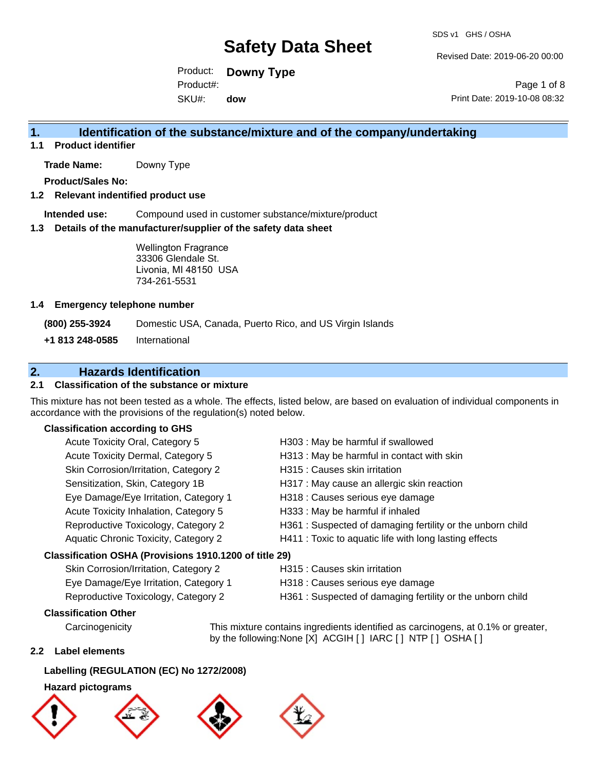Revised Date: 2019-06-20 00:00

Product: **Downy Type** SKU#: Product#: **dow**

Page 1 of 8 Print Date: 2019-10-08 08:32

### **1. Identification of the substance/mixture and of the company/undertaking**

**1.1 Product identifier**

**Trade Name:** Downy Type

**Product/Sales No:**

#### **1.2 Relevant indentified product use**

**Intended use:** Compound used in customer substance/mixture/product

#### **1.3 Details of the manufacturer/supplier of the safety data sheet**

Wellington Fragrance 33306 Glendale St. Livonia, MI 48150 USA 734-261-5531

#### **1.4 Emergency telephone number**

**(800) 255-3924** Domestic USA, Canada, Puerto Rico, and US Virgin Islands

**+1 813 248-0585** International

### **2. Hazards Identification**

#### **2.1 Classification of the substance or mixture**

This mixture has not been tested as a whole. The effects, listed below, are based on evaluation of individual components in accordance with the provisions of the regulation(s) noted below.

#### **Classification according to GHS**

| Acute Toxicity Oral, Category 5                        | H303 : May be harmful if swallowed                         |
|--------------------------------------------------------|------------------------------------------------------------|
| Acute Toxicity Dermal, Category 5                      | H313 : May be harmful in contact with skin                 |
| Skin Corrosion/Irritation, Category 2                  | H315 : Causes skin irritation                              |
| Sensitization, Skin, Category 1B                       | H317 : May cause an allergic skin reaction                 |
| Eye Damage/Eye Irritation, Category 1                  | H318 : Causes serious eye damage                           |
| Acute Toxicity Inhalation, Category 5                  | H333: May be harmful if inhaled                            |
| Reproductive Toxicology, Category 2                    | H361 : Suspected of damaging fertility or the unborn child |
| Aquatic Chronic Toxicity, Category 2                   | H411 : Toxic to aquatic life with long lasting effects     |
| Classification OSHA (Provisions 1910.1200 of title 29) |                                                            |
|                                                        |                                                            |

| Skin Corrosion/Irritation, Category 2 |
|---------------------------------------|
| Eye Damage/Eye Irritation, Category 1 |
| Reproductive Toxicology, Category 2   |

- H315 : Causes skin irritation
- H318 : Causes serious eye damage
- H361 : Suspected of damaging fertility or the unborn child

### **Classification Other**

Carcinogenicity This mixture contains ingredients identified as carcinogens, at 0.1% or greater, by the following:None [X] ACGIH [ ] IARC [ ] NTP [ ] OSHA [ ]

#### **2.2 Label elements**

#### **Labelling (REGULATION (EC) No 1272/2008)**

#### **Hazard pictograms**







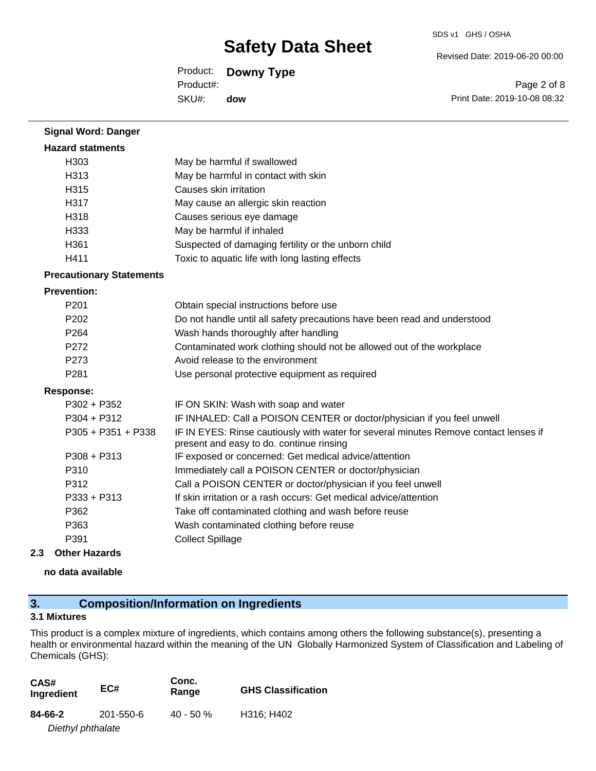Revised Date: 2019-06-20 00:00

Product: **Downy Type** SKU#: Product#: **dow**

Page 2 of 8 Print Date: 2019-10-08 08:32

| <b>Signal Word: Danger</b>      |                                                                                                                                  |
|---------------------------------|----------------------------------------------------------------------------------------------------------------------------------|
| <b>Hazard statments</b>         |                                                                                                                                  |
| H303                            | May be harmful if swallowed                                                                                                      |
| H313                            | May be harmful in contact with skin                                                                                              |
| H315                            | Causes skin irritation                                                                                                           |
| H317                            | May cause an allergic skin reaction                                                                                              |
| H318                            | Causes serious eye damage                                                                                                        |
| H333                            | May be harmful if inhaled                                                                                                        |
| H361                            | Suspected of damaging fertility or the unborn child                                                                              |
| H411                            | Toxic to aquatic life with long lasting effects                                                                                  |
| <b>Precautionary Statements</b> |                                                                                                                                  |
| <b>Prevention:</b>              |                                                                                                                                  |
| P201                            | Obtain special instructions before use                                                                                           |
| P <sub>202</sub>                | Do not handle until all safety precautions have been read and understood                                                         |
| P <sub>264</sub>                | Wash hands thoroughly after handling                                                                                             |
| P272                            | Contaminated work clothing should not be allowed out of the workplace                                                            |
| P273                            | Avoid release to the environment                                                                                                 |
| P281                            | Use personal protective equipment as required                                                                                    |
| <b>Response:</b>                |                                                                                                                                  |
| $P302 + P352$                   | IF ON SKIN: Wash with soap and water                                                                                             |
| $P304 + P312$                   | IF INHALED: Call a POISON CENTER or doctor/physician if you feel unwell                                                          |
| P305 + P351 + P338              | IF IN EYES: Rinse cautiously with water for several minutes Remove contact lenses if<br>present and easy to do. continue rinsing |
| $P308 + P313$                   | IF exposed or concerned: Get medical advice/attention                                                                            |
| P310                            | Immediately call a POISON CENTER or doctor/physician                                                                             |
| P312                            | Call a POISON CENTER or doctor/physician if you feel unwell                                                                      |
| $P333 + P313$                   | If skin irritation or a rash occurs: Get medical advice/attention                                                                |
| P362                            | Take off contaminated clothing and wash before reuse                                                                             |
| P363                            | Wash contaminated clothing before reuse                                                                                          |
| P391                            | <b>Collect Spillage</b>                                                                                                          |
| مالسم مسالل مرميانه             |                                                                                                                                  |

#### **2.3 Other Hazards**

**no data available**

## **3. Composition/Information on Ingredients**

### **3.1 Mixtures**

This product is a complex mixture of ingredients, which contains among others the following substance(s), presenting a health or environmental hazard within the meaning of the UN Globally Harmonized System of Classification and Labeling of Chemicals (GHS):

| CAS#<br>Ingredient | EC#       | Conc.<br>Range | <b>GHS Classification</b> |
|--------------------|-----------|----------------|---------------------------|
| 84-66-2            | 201-550-6 | $40 - 50 \%$   | H316; H402                |
| Diethyl phthalate  |           |                |                           |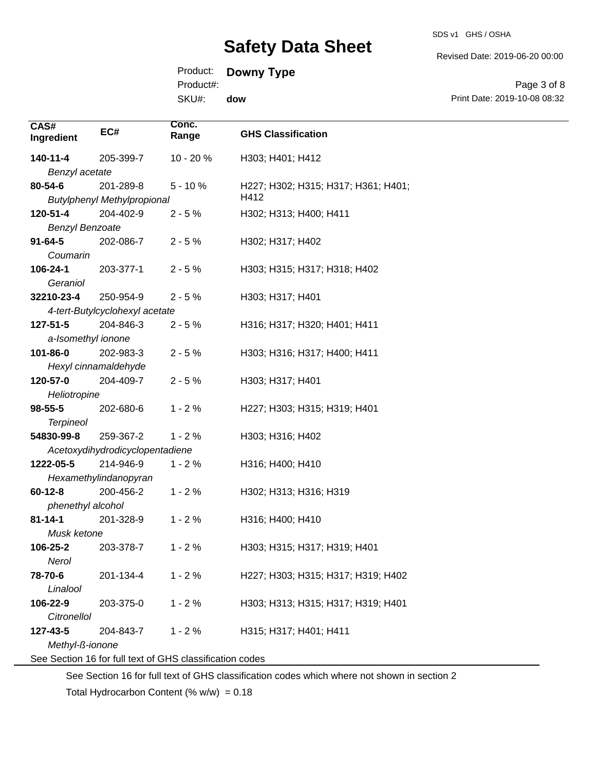SDS v1 GHS / OSHA

Revised Date: 2019-06-20 00:00

Product: **Downy Type**

Product#:

SKU#: **dow**

Page 3 of 8 Print Date: 2019-10-08 08:32

| CAS#<br>Ingredient     | EC#                                | Conc.<br>Range                                           | <b>GHS Classification</b>           |
|------------------------|------------------------------------|----------------------------------------------------------|-------------------------------------|
| 140-11-4               | 205-399-7                          | $10 - 20%$                                               | H303; H401; H412                    |
| Benzyl acetate         |                                    |                                                          |                                     |
| $80 - 54 - 6$          | 201-289-8                          | $5 - 10%$                                                | H227; H302; H315; H317; H361; H401; |
|                        | <b>Butylphenyl Methylpropional</b> |                                                          | H412                                |
| 120-51-4               | 204-402-9                          | $2 - 5%$                                                 | H302; H313; H400; H411              |
| <b>Benzyl Benzoate</b> |                                    |                                                          |                                     |
| $91 - 64 - 5$          | 202-086-7                          | $2 - 5%$                                                 | H302; H317; H402                    |
| Coumarin               |                                    |                                                          |                                     |
| 106-24-1               | 203-377-1                          | $2 - 5%$                                                 | H303; H315; H317; H318; H402        |
| Geraniol               |                                    |                                                          |                                     |
| 32210-23-4             | 250-954-9                          | $2 - 5%$                                                 | H303; H317; H401                    |
|                        | 4-tert-Butylcyclohexyl acetate     |                                                          |                                     |
| 127-51-5               | 204-846-3                          | $2 - 5%$                                                 | H316; H317; H320; H401; H411        |
| a-Isomethyl ionone     |                                    |                                                          |                                     |
| 101-86-0               | 202-983-3                          | $2 - 5%$                                                 | H303; H316; H317; H400; H411        |
|                        | Hexyl cinnamaldehyde               |                                                          |                                     |
| 120-57-0               | 204-409-7                          | $2 - 5%$                                                 | H303; H317; H401                    |
| Heliotropine           |                                    |                                                          |                                     |
| $98 - 55 - 5$          | 202-680-6                          | $1 - 2%$                                                 | H227; H303; H315; H319; H401        |
| <b>Terpineol</b>       |                                    |                                                          |                                     |
| 54830-99-8             | 259-367-2                          | $1 - 2%$                                                 | H303; H316; H402                    |
|                        | Acetoxydihydrodicyclopentadiene    |                                                          |                                     |
| 1222-05-5              | 214-946-9                          | $1 - 2%$                                                 | H316; H400; H410                    |
|                        | Hexamethylindanopyran              |                                                          |                                     |
| $60 - 12 - 8$          | 200-456-2                          | $1 - 2%$                                                 | H302; H313; H316; H319              |
| phenethyl alcohol      |                                    |                                                          |                                     |
| $81 - 14 - 1$          | 201-328-9                          | $1 - 2%$                                                 | H316; H400; H410                    |
| Musk ketone            |                                    |                                                          |                                     |
| 106-25-2               | 203-378-7                          | $1 - 2%$                                                 | H303; H315; H317; H319; H401        |
| Nerol                  |                                    |                                                          |                                     |
| 78-70-6                | 201-134-4                          | $1 - 2%$                                                 | H227; H303; H315; H317; H319; H402  |
| Linalool               |                                    |                                                          |                                     |
| 106-22-9               | 203-375-0                          | $1 - 2%$                                                 | H303; H313; H315; H317; H319; H401  |
| <b>Citronellol</b>     |                                    |                                                          |                                     |
| 127-43-5               | 204-843-7                          | $1 - 2%$                                                 | H315; H317; H401; H411              |
| Methyl-ß-ionone        |                                    | See Section 16 for full text of GHS classification codes |                                     |

See Section 16 for full text of GHS classification codes which where not shown in section 2

Total Hydrocarbon Content (%  $w/w$ ) = 0.18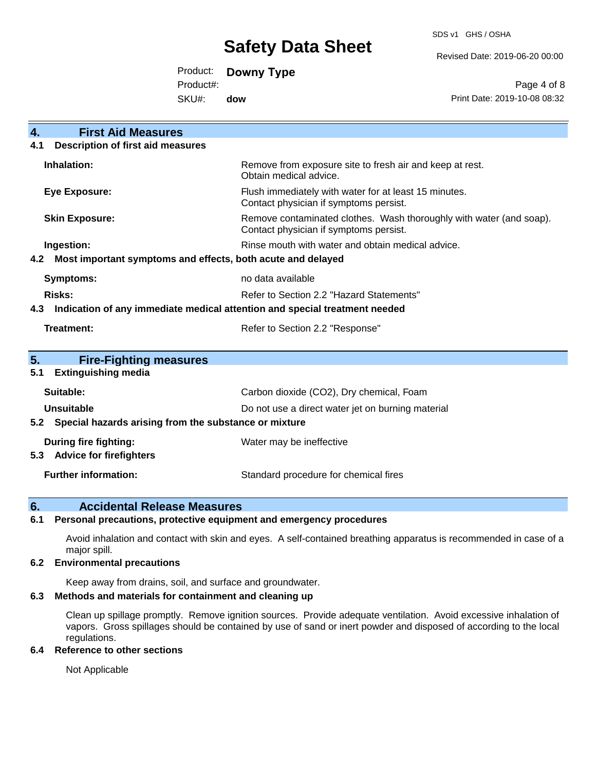SDS v1 GHS / OSHA

Revised Date: 2019-06-20 00:00

Product: **Downy Type**

Product#:

SKU#: **dow**

Page 4 of 8 Print Date: 2019-10-08 08:32

| <b>First Aid Measures</b><br>4.                                                   |                                                                                                               |
|-----------------------------------------------------------------------------------|---------------------------------------------------------------------------------------------------------------|
| <b>Description of first aid measures</b><br>4.1                                   |                                                                                                               |
| Inhalation:                                                                       | Remove from exposure site to fresh air and keep at rest.<br>Obtain medical advice.                            |
| <b>Eye Exposure:</b>                                                              | Flush immediately with water for at least 15 minutes.<br>Contact physician if symptoms persist.               |
| <b>Skin Exposure:</b>                                                             | Remove contaminated clothes. Wash thoroughly with water (and soap).<br>Contact physician if symptoms persist. |
| Ingestion:                                                                        | Rinse mouth with water and obtain medical advice.                                                             |
| Most important symptoms and effects, both acute and delayed<br>4.2                |                                                                                                               |
| Symptoms:                                                                         | no data available                                                                                             |
| <b>Risks:</b>                                                                     | Refer to Section 2.2 "Hazard Statements"                                                                      |
| Indication of any immediate medical attention and special treatment needed<br>4.3 |                                                                                                               |
| Treatment:                                                                        | Refer to Section 2.2 "Response"                                                                               |
| 5.<br><b>Fire-Fighting measures</b>                                               |                                                                                                               |
| <b>Extinguishing media</b><br>5.1                                                 |                                                                                                               |
| Suitable:                                                                         | Carbon dioxide (CO2), Dry chemical, Foam                                                                      |
| <b>Unsuitable</b>                                                                 | Do not use a direct water jet on burning material                                                             |
| Special hazards arising from the substance or mixture<br>5.2                      |                                                                                                               |
| During fire fighting:                                                             | Water may be ineffective                                                                                      |
| <b>Advice for firefighters</b><br>5.3                                             |                                                                                                               |
| <b>Further information:</b>                                                       | Standard procedure for chemical fires                                                                         |

### **6. Accidental Release Measures**

#### **6.1 Personal precautions, protective equipment and emergency procedures**

Avoid inhalation and contact with skin and eyes. A self-contained breathing apparatus is recommended in case of a major spill.

#### **6.2 Environmental precautions**

Keep away from drains, soil, and surface and groundwater.

#### **6.3 Methods and materials for containment and cleaning up**

Clean up spillage promptly. Remove ignition sources. Provide adequate ventilation. Avoid excessive inhalation of vapors. Gross spillages should be contained by use of sand or inert powder and disposed of according to the local regulations.

#### **6.4 Reference to other sections**

Not Applicable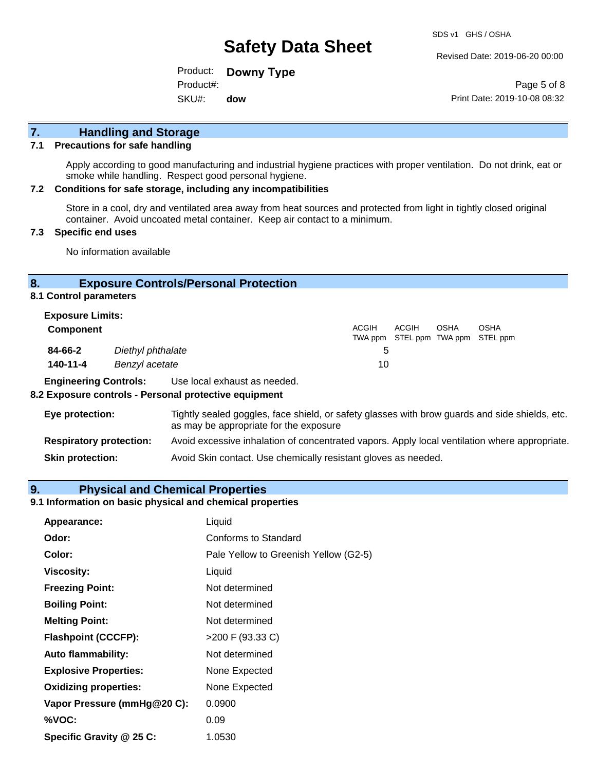Revised Date: 2019-06-20 00:00

Product: **Downy Type** SKU#: Product#: **dow**

Page 5 of 8 Print Date: 2019-10-08 08:32

# **7. Handling and Storage**

#### **7.1 Precautions for safe handling**

Apply according to good manufacturing and industrial hygiene practices with proper ventilation. Do not drink, eat or smoke while handling. Respect good personal hygiene.

#### **7.2 Conditions for safe storage, including any incompatibilities**

Store in a cool, dry and ventilated area away from heat sources and protected from light in tightly closed original container. Avoid uncoated metal container. Keep air contact to a minimum.

#### **7.3 Specific end uses**

No information available

#### **8. Exposure Controls/Personal Protection**

**8.1 Control parameters**

| <b>Exposure Limits:</b><br><b>Component</b> |                                     | <b>ACGIH</b> | ACGIH | <b>OSHA</b> | <b>OSHA</b><br>TWA ppm STEL ppm TWA ppm STEL ppm |
|---------------------------------------------|-------------------------------------|--------------|-------|-------------|--------------------------------------------------|
| 84-66-2<br>$140 - 11 - 4$                   | Diethyl phthalate<br>Benzyl acetate | G<br>10      |       |             |                                                  |

**Engineering Controls:** Use local exhaust as needed.

#### **8.2 Exposure controls - Personal protective equipment**

| Eye protection:                | Tightly sealed goggles, face shield, or safety glasses with brow guards and side shields, etc.<br>as may be appropriate for the exposure |
|--------------------------------|------------------------------------------------------------------------------------------------------------------------------------------|
| <b>Respiratory protection:</b> | Avoid excessive inhalation of concentrated vapors. Apply local ventilation where appropriate.                                            |
| <b>Skin protection:</b>        | Avoid Skin contact. Use chemically resistant gloves as needed.                                                                           |

#### **9. Physical and Chemical Properties**

### **9.1 Information on basic physical and chemical properties**

| Appearance:                  | Liquid                                |
|------------------------------|---------------------------------------|
| Odor:                        | <b>Conforms to Standard</b>           |
| Color:                       | Pale Yellow to Greenish Yellow (G2-5) |
| <b>Viscosity:</b>            | Liquid                                |
| <b>Freezing Point:</b>       | Not determined                        |
| <b>Boiling Point:</b>        | Not determined                        |
| <b>Melting Point:</b>        | Not determined                        |
| <b>Flashpoint (CCCFP):</b>   | >200 F (93.33 C)                      |
| <b>Auto flammability:</b>    | Not determined                        |
| <b>Explosive Properties:</b> | None Expected                         |
| <b>Oxidizing properties:</b> | None Expected                         |
| Vapor Pressure (mmHg@20 C):  | 0.0900                                |
| %VOC:                        | 0.09                                  |
| Specific Gravity @ 25 C:     | 1.0530                                |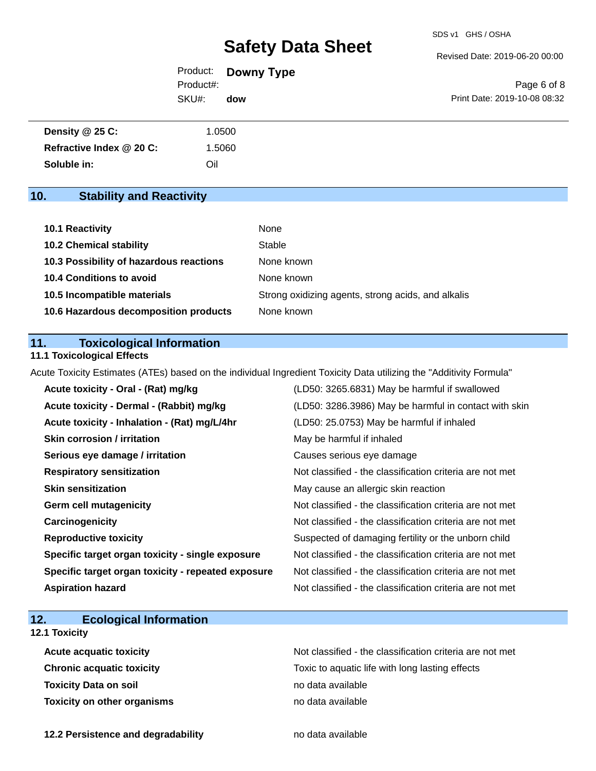Revised Date: 2019-06-20 00:00

| Page 6 of 8                  |
|------------------------------|
| Print Date: 2019-10-08 08:32 |
|                              |

| <b>Density @ 25 C:</b>   | 1.0500 |
|--------------------------|--------|
| Refractive Index @ 20 C: | 1.5060 |
| Soluble in:              | Oil    |

## **10. Stability and Reactivity**

| 10.1 Reactivity                         | None                                               |
|-----------------------------------------|----------------------------------------------------|
| <b>10.2 Chemical stability</b>          | Stable                                             |
| 10.3 Possibility of hazardous reactions | None known                                         |
| <b>10.4 Conditions to avoid</b>         | None known                                         |
| 10.5 Incompatible materials             | Strong oxidizing agents, strong acids, and alkalis |
| 10.6 Hazardous decomposition products   | None known                                         |

### **11. Toxicological Information**

### **11.1 Toxicological Effects**

Acute Toxicity Estimates (ATEs) based on the individual Ingredient Toxicity Data utilizing the "Additivity Formula"

| Acute toxicity - Oral - (Rat) mg/kg                | (LD50: 3265.6831) May be harmful if swallowed            |
|----------------------------------------------------|----------------------------------------------------------|
| Acute toxicity - Dermal - (Rabbit) mg/kg           | (LD50: 3286.3986) May be harmful in contact with skin    |
| Acute toxicity - Inhalation - (Rat) mg/L/4hr       | (LD50: 25.0753) May be harmful if inhaled                |
| <b>Skin corrosion / irritation</b>                 | May be harmful if inhaled                                |
| Serious eye damage / irritation                    | Causes serious eye damage                                |
| <b>Respiratory sensitization</b>                   | Not classified - the classification criteria are not met |
| <b>Skin sensitization</b>                          | May cause an allergic skin reaction                      |
| <b>Germ cell mutagenicity</b>                      | Not classified - the classification criteria are not met |
| Carcinogenicity                                    | Not classified - the classification criteria are not met |
| <b>Reproductive toxicity</b>                       | Suspected of damaging fertility or the unborn child      |
| Specific target organ toxicity - single exposure   | Not classified - the classification criteria are not met |
| Specific target organ toxicity - repeated exposure | Not classified - the classification criteria are not met |
| <b>Aspiration hazard</b>                           | Not classified - the classification criteria are not met |

## **12. Ecological Information**

### **12.1 Toxicity**

| <b>Acute acquatic toxicity</b>     | Not classified - the classification criteria are not met |
|------------------------------------|----------------------------------------------------------|
| <b>Chronic acquatic toxicity</b>   | Toxic to aquatic life with long lasting effects          |
| <b>Toxicity Data on soil</b>       | no data available                                        |
| <b>Toxicity on other organisms</b> | no data available                                        |

**12.2 Persistence and degradability no data available**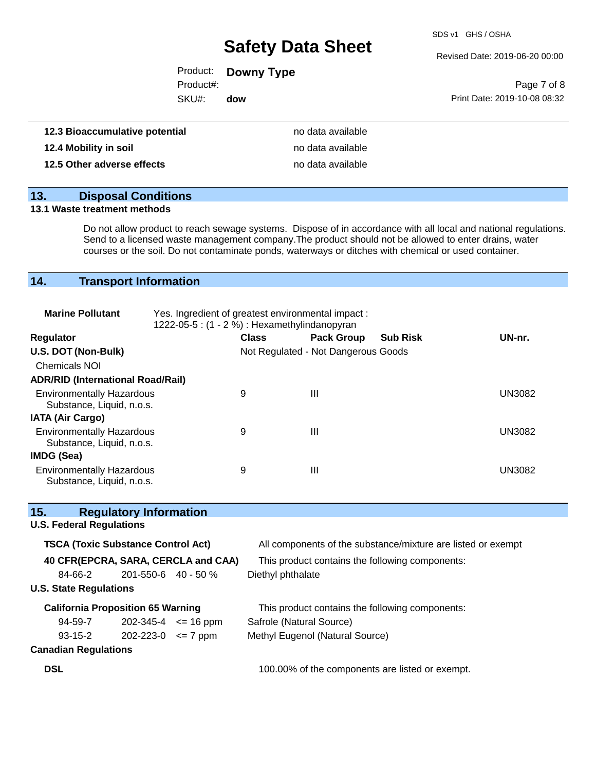SDS v1 GHS / OSHA

Revised Date: 2019-06-20 00:00

|                    | Product: <b>Downy Type</b> |                              |
|--------------------|----------------------------|------------------------------|
| Product#:          |                            | Page 7 of 8                  |
| SKU#:              | dow                        | Print Date: 2019-10-08 08:32 |
|                    |                            |                              |
| mulative notential | no data available          |                              |

| 12.3 Bioaccumulative potential | no data available |
|--------------------------------|-------------------|
| 12.4 Mobility in soil          | no data available |
| 12.5 Other adverse effects     | no data available |

# **13. Disposal Conditions**

#### **13.1 Waste treatment methods**

Do not allow product to reach sewage systems. Dispose of in accordance with all local and national regulations. Send to a licensed waste management company.The product should not be allowed to enter drains, water courses or the soil. Do not contaminate ponds, waterways or ditches with chemical or used container.

### **14. Transport Information**

| <b>Marine Pollutant</b>                                       | Yes. Ingredient of greatest environmental impact:<br>1222-05-5 : (1 - 2 %) : Hexamethylindanopyran |              |                                     |                 |               |
|---------------------------------------------------------------|----------------------------------------------------------------------------------------------------|--------------|-------------------------------------|-----------------|---------------|
| <b>Regulator</b>                                              |                                                                                                    | <b>Class</b> | <b>Pack Group</b>                   | <b>Sub Risk</b> | UN-nr.        |
| U.S. DOT (Non-Bulk)                                           |                                                                                                    |              | Not Regulated - Not Dangerous Goods |                 |               |
| <b>Chemicals NOI</b>                                          |                                                                                                    |              |                                     |                 |               |
| <b>ADR/RID (International Road/Rail)</b>                      |                                                                                                    |              |                                     |                 |               |
| <b>Environmentally Hazardous</b><br>Substance, Liquid, n.o.s. |                                                                                                    | 9            | Ш                                   |                 | <b>UN3082</b> |
| <b>IATA (Air Cargo)</b>                                       |                                                                                                    |              |                                     |                 |               |
| <b>Environmentally Hazardous</b><br>Substance, Liquid, n.o.s. |                                                                                                    | 9            | Ш                                   |                 | <b>UN3082</b> |
| <b>IMDG (Sea)</b>                                             |                                                                                                    |              |                                     |                 |               |
| <b>Environmentally Hazardous</b><br>Substance, Liquid, n.o.s. |                                                                                                    | 9            | Ш                                   |                 | <b>UN3082</b> |

| 15.                             | <b>Regulatory Information</b>             |                                     |                                                              |
|---------------------------------|-------------------------------------------|-------------------------------------|--------------------------------------------------------------|
| <b>U.S. Federal Regulations</b> |                                           |                                     |                                                              |
|                                 | <b>TSCA (Toxic Substance Control Act)</b> |                                     | All components of the substance/mixture are listed or exempt |
|                                 |                                           | 40 CFR(EPCRA, SARA, CERCLA and CAA) | This product contains the following components:              |
| 84-66-2                         | $201 - 550 - 6$ 40 - 50 %                 |                                     | Diethyl phthalate                                            |
| <b>U.S. State Regulations</b>   |                                           |                                     |                                                              |
|                                 | <b>California Proposition 65 Warning</b>  |                                     | This product contains the following components:              |
| 94-59-7                         |                                           | $202 - 345 - 4 \leq 16$ ppm         | Safrole (Natural Source)                                     |
| $93 - 15 - 2$                   | $202 - 223 - 0 \leq 7$ ppm                |                                     | Methyl Eugenol (Natural Source)                              |
| <b>Canadian Regulations</b>     |                                           |                                     |                                                              |
| <b>DSL</b>                      |                                           |                                     | 100.00% of the components are listed or exempt.              |